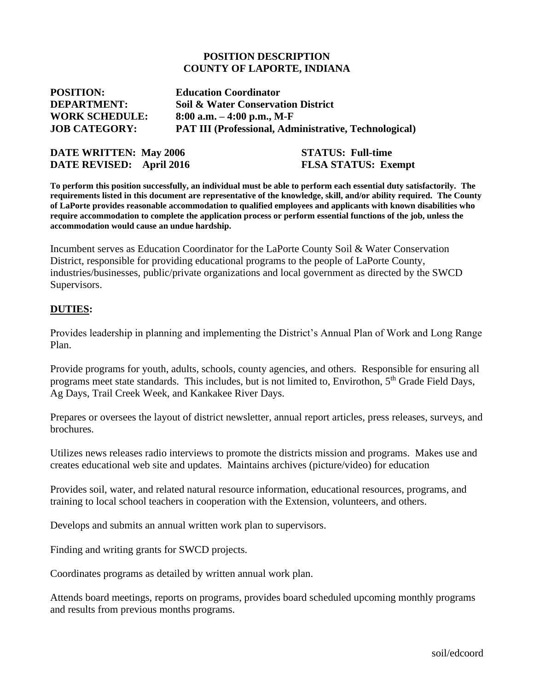#### **POSITION DESCRIPTION COUNTY OF LAPORTE, INDIANA**

| <b>POSITION:</b>      | <b>Education Coordinator</b>                                 |
|-----------------------|--------------------------------------------------------------|
| <b>DEPARTMENT:</b>    | <b>Soil &amp; Water Conservation District</b>                |
| <b>WORK SCHEDULE:</b> | 8:00 a.m. $-4:00$ p.m., M-F                                  |
| <b>JOB CATEGORY:</b>  | <b>PAT III (Professional, Administrative, Technological)</b> |

| <b>DATE WRITTEN: May 2006</b> | <b>STATUS: Full-time</b>   |
|-------------------------------|----------------------------|
| DATE REVISED: April 2016      | <b>FLSA STATUS: Exempt</b> |

**To perform this position successfully, an individual must be able to perform each essential duty satisfactorily. The requirements listed in this document are representative of the knowledge, skill, and/or ability required. The County of LaPorte provides reasonable accommodation to qualified employees and applicants with known disabilities who require accommodation to complete the application process or perform essential functions of the job, unless the accommodation would cause an undue hardship.**

Incumbent serves as Education Coordinator for the LaPorte County Soil & Water Conservation District, responsible for providing educational programs to the people of LaPorte County, industries/businesses, public/private organizations and local government as directed by the SWCD Supervisors.

#### **DUTIES:**

Provides leadership in planning and implementing the District's Annual Plan of Work and Long Range Plan.

Provide programs for youth, adults, schools, county agencies, and others. Responsible for ensuring all programs meet state standards. This includes, but is not limited to, Envirothon, 5th Grade Field Days, Ag Days, Trail Creek Week, and Kankakee River Days.

Prepares or oversees the layout of district newsletter, annual report articles, press releases, surveys, and brochures.

Utilizes news releases radio interviews to promote the districts mission and programs. Makes use and creates educational web site and updates. Maintains archives (picture/video) for education

Provides soil, water, and related natural resource information, educational resources, programs, and training to local school teachers in cooperation with the Extension, volunteers, and others.

Develops and submits an annual written work plan to supervisors.

Finding and writing grants for SWCD projects.

Coordinates programs as detailed by written annual work plan.

Attends board meetings, reports on programs, provides board scheduled upcoming monthly programs and results from previous months programs.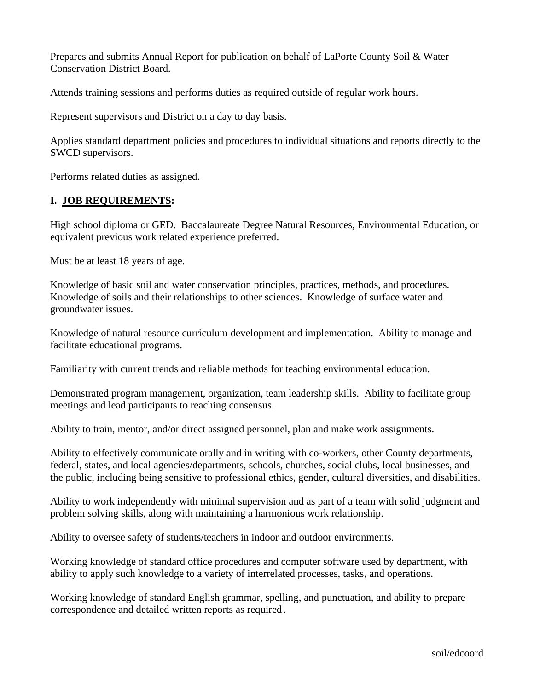Prepares and submits Annual Report for publication on behalf of LaPorte County Soil & Water Conservation District Board.

Attends training sessions and performs duties as required outside of regular work hours.

Represent supervisors and District on a day to day basis.

Applies standard department policies and procedures to individual situations and reports directly to the SWCD supervisors.

Performs related duties as assigned.

# **I. JOB REQUIREMENTS:**

High school diploma or GED. Baccalaureate Degree Natural Resources, Environmental Education, or equivalent previous work related experience preferred.

Must be at least 18 years of age.

Knowledge of basic soil and water conservation principles, practices, methods, and procedures. Knowledge of soils and their relationships to other sciences. Knowledge of surface water and groundwater issues.

Knowledge of natural resource curriculum development and implementation. Ability to manage and facilitate educational programs.

Familiarity with current trends and reliable methods for teaching environmental education.

Demonstrated program management, organization, team leadership skills. Ability to facilitate group meetings and lead participants to reaching consensus.

Ability to train, mentor, and/or direct assigned personnel, plan and make work assignments.

Ability to effectively communicate orally and in writing with co-workers, other County departments, federal, states, and local agencies/departments, schools, churches, social clubs, local businesses, and the public, including being sensitive to professional ethics, gender, cultural diversities, and disabilities.

Ability to work independently with minimal supervision and as part of a team with solid judgment and problem solving skills, along with maintaining a harmonious work relationship.

Ability to oversee safety of students/teachers in indoor and outdoor environments.

Working knowledge of standard office procedures and computer software used by department, with ability to apply such knowledge to a variety of interrelated processes, tasks, and operations.

Working knowledge of standard English grammar, spelling, and punctuation, and ability to prepare correspondence and detailed written reports as required.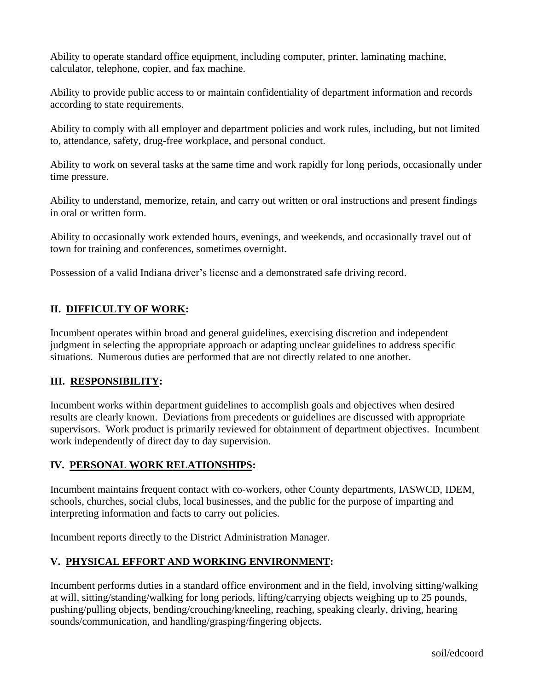Ability to operate standard office equipment, including computer, printer, laminating machine, calculator, telephone, copier, and fax machine.

Ability to provide public access to or maintain confidentiality of department information and records according to state requirements.

Ability to comply with all employer and department policies and work rules, including, but not limited to, attendance, safety, drug-free workplace, and personal conduct.

Ability to work on several tasks at the same time and work rapidly for long periods, occasionally under time pressure.

Ability to understand, memorize, retain, and carry out written or oral instructions and present findings in oral or written form.

Ability to occasionally work extended hours, evenings, and weekends, and occasionally travel out of town for training and conferences, sometimes overnight.

Possession of a valid Indiana driver's license and a demonstrated safe driving record.

# **II. DIFFICULTY OF WORK:**

Incumbent operates within broad and general guidelines, exercising discretion and independent judgment in selecting the appropriate approach or adapting unclear guidelines to address specific situations. Numerous duties are performed that are not directly related to one another.

# **III. RESPONSIBILITY:**

Incumbent works within department guidelines to accomplish goals and objectives when desired results are clearly known. Deviations from precedents or guidelines are discussed with appropriate supervisors. Work product is primarily reviewed for obtainment of department objectives. Incumbent work independently of direct day to day supervision.

# **IV. PERSONAL WORK RELATIONSHIPS:**

Incumbent maintains frequent contact with co-workers, other County departments, IASWCD, IDEM, schools, churches, social clubs, local businesses, and the public for the purpose of imparting and interpreting information and facts to carry out policies.

Incumbent reports directly to the District Administration Manager.

# **V. PHYSICAL EFFORT AND WORKING ENVIRONMENT:**

Incumbent performs duties in a standard office environment and in the field, involving sitting/walking at will, sitting/standing/walking for long periods, lifting/carrying objects weighing up to 25 pounds, pushing/pulling objects, bending/crouching/kneeling, reaching, speaking clearly, driving, hearing sounds/communication, and handling/grasping/fingering objects.